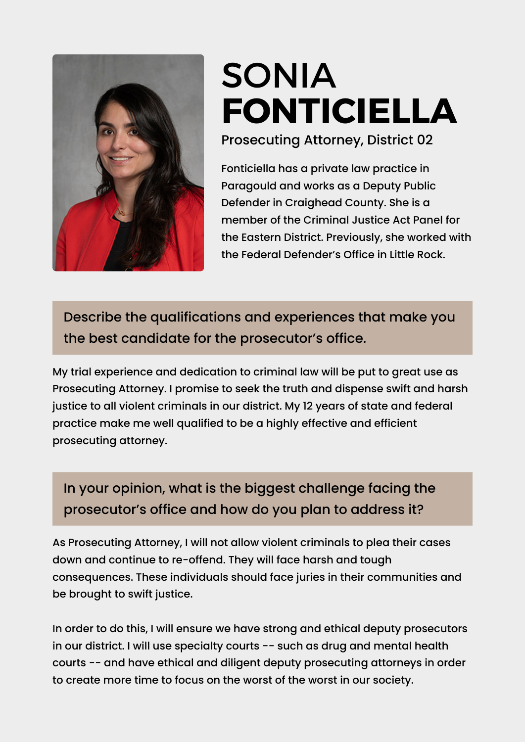

## [SONIA](https://www.ark.org/arelections/index.php?ac:show:cand_search=1&candid=3604) **[FONTICIELLA](https://www.ark.org/arelections/index.php?ac:show:cand_search=1&candid=3604)**

Prosecuting Attorney, District 02

Fonticiella has a private law practice in Paragould and works as a Deputy Public Defender in Craighead County. She is a member of the Criminal Justice Act Panel for the Eastern District. Previously, she worked with the Federal Defender's Office in Little Rock.

Describe the qualifications and experiences that make you the best candidate for the prosecutor's office.

My trial experience and dedication to criminal law will be put to great use as Prosecuting Attorney. I promise to seek the truth and dispense swift and harsh justice to all violent criminals in our district. My 12 years of state and federal practice make me well qualified to be a highly effective and efficient prosecuting attorney.

## In your opinion, what is the biggest challenge facing the prosecutor's office and how do you plan to address it?

As Prosecuting Attorney, I will not allow violent criminals to plea their cases down and continue to re-offend. They will face harsh and tough consequences. These individuals should face juries in their communities and be brought to swift justice.

In order to do this, I will ensure we have strong and ethical deputy prosecutors in our district. I will use specialty courts -- such as drug and mental health courts -- and have ethical and diligent deputy prosecuting attorneys in order to create more time to focus on the worst of the worst in our society.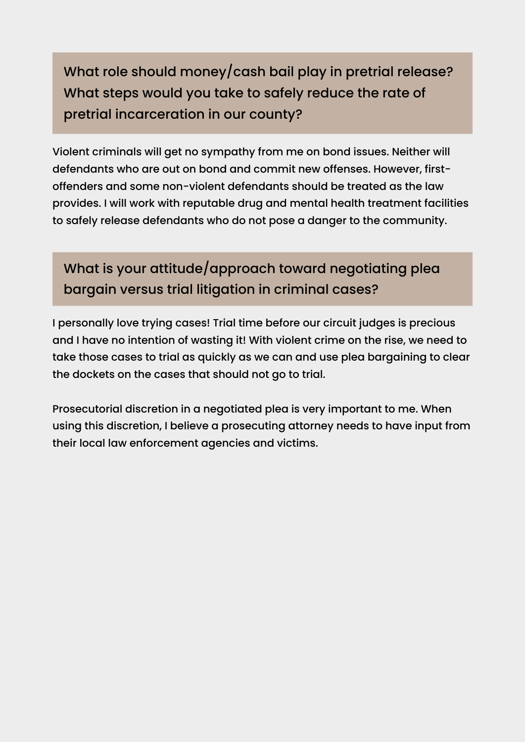What role should money/cash bail play in pretrial release? What steps would you take to safely reduce the rate of pretrial incarceration in our county?

Violent criminals will get no sympathy from me on bond issues. Neither will defendants who are out on bond and commit new offenses. However, firstoffenders and some non-violent defendants should be treated as the law provides. I will work with reputable drug and mental health treatment facilities to safely release defendants who do not pose a danger to the community.

## What is your attitude/approach toward negotiating plea bargain versus trial litigation in criminal cases?

I personally love trying cases! Trial time before our circuit judges is precious and I have no intention of wasting it! With violent crime on the rise, we need to take those cases to trial as quickly as we can and use plea bargaining to clear the dockets on the cases that should not go to trial.

Prosecutorial discretion in a negotiated plea is very important to me. When using this discretion, I believe a prosecuting attorney needs to have input from their local law enforcement agencies and victims.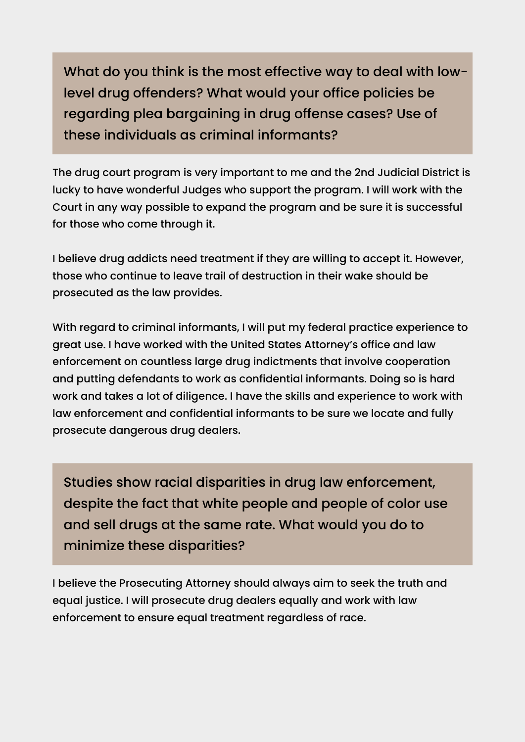What do you think is the most effective way to deal with lowlevel drug offenders? What would your office policies be regarding plea bargaining in drug offense cases? Use of these individuals as criminal informants?

The drug court program is very important to me and the 2nd Judicial District is lucky to have wonderful Judges who support the program. I will work with the Court in any way possible to expand the program and be sure it is successful for those who come through it.

I believe drug addicts need treatment if they are willing to accept it. However, those who continue to leave trail of destruction in their wake should be prosecuted as the law provides.

With regard to criminal informants, I will put my federal practice experience to great use. I have worked with the United States Attorney's office and law enforcement on countless large drug indictments that involve cooperation and putting defendants to work as confidential informants. Doing so is hard work and takes a lot of diligence. I have the skills and experience to work with law enforcement and confidential informants to be sure we locate and fully prosecute dangerous drug dealers.

Studies show racial disparities in drug law enforcement, despite the fact that white people and people of color use and sell drugs at the same rate. What would you do to minimize these disparities?

I believe the Prosecuting Attorney should always aim to seek the truth and equal justice. I will prosecute drug dealers equally and work with law enforcement to ensure equal treatment regardless of race.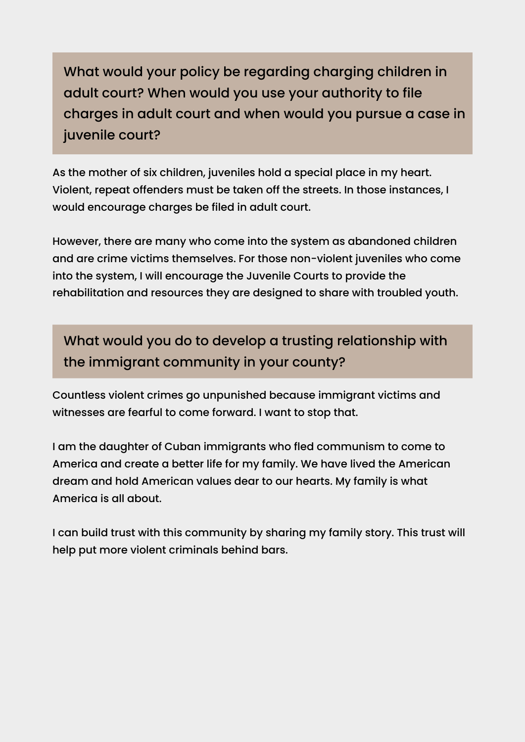What would your policy be regarding charging children in adult court? When would you use your authority to file charges in adult court and when would you pursue a case in juvenile court?

As the mother of six children, juveniles hold a special place in my heart. Violent, repeat offenders must be taken off the streets. In those instances, I would encourage charges be filed in adult court.

However, there are many who come into the system as abandoned children and are crime victims themselves. For those non-violent juveniles who come into the system, I will encourage the Juvenile Courts to provide the rehabilitation and resources they are designed to share with troubled youth.

What would you do to develop a trusting relationship with the immigrant community in your county?

Countless violent crimes go unpunished because immigrant victims and witnesses are fearful to come forward. I want to stop that.

I am the daughter of Cuban immigrants who fled communism to come to America and create a better life for my family. We have lived the American dream and hold American values dear to our hearts. My family is what America is all about.

I can build trust with this community by sharing my family story. This trust will help put more violent criminals behind bars.